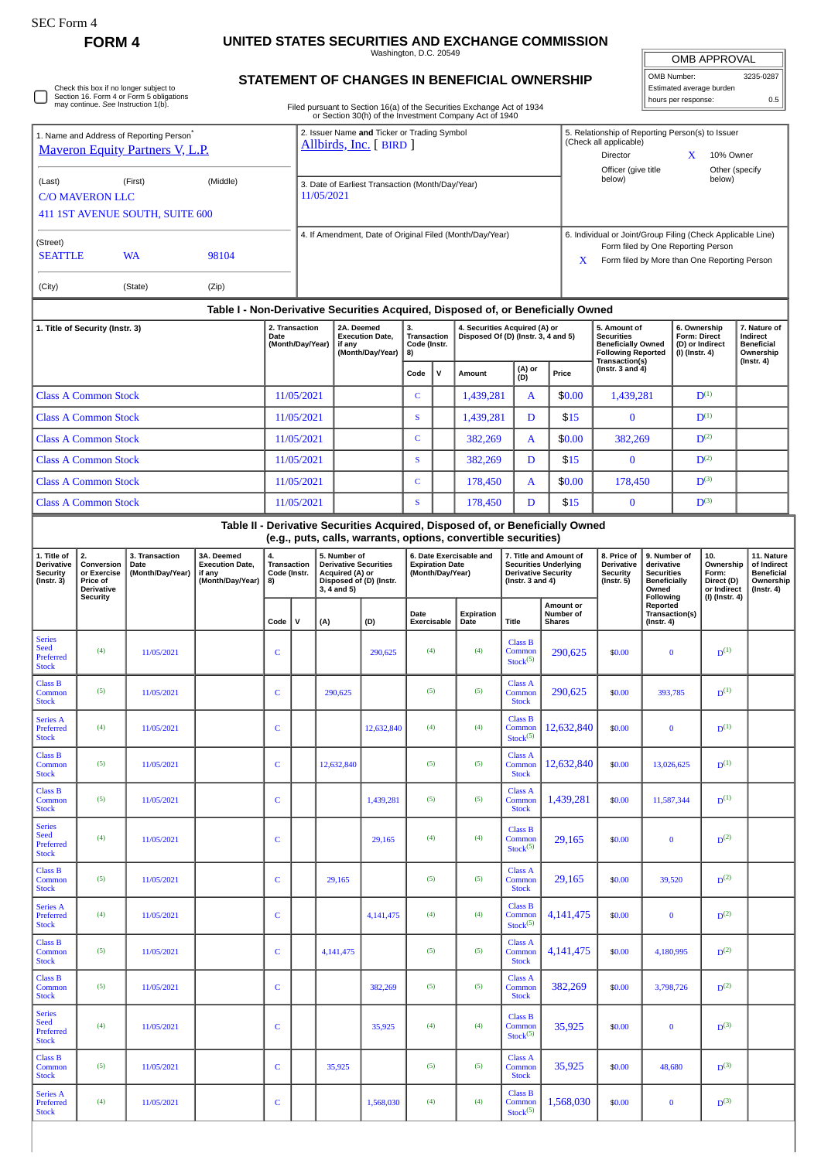Series A Preferred Stock

## **FORM 4 UNITED STATES SECURITIES AND EXCHANGE COMMISSION**

Washington, D.C. 20549

| <b>OMB APPROVAL</b> |         |  |  |  |  |  |  |  |
|---------------------|---------|--|--|--|--|--|--|--|
| MB Number:          | 3235-02 |  |  |  |  |  |  |  |

۰ **STATEMENT OF CHANGES IN BENEFICIAL OWNERSHIP** OMB Number: 3235-0287 Estimated average burden Check this box if no longer subject to Section 16. Form 4 or Form 5 obligations may continue. *See* Instruction 1(b). ⊓ hours per response: 0.5 Filed pursuant to Section 16(a) of the Securities Exchange Act of 1934 or Section 30(h) of the Investment Company Act of 1940 2. Issuer Name **and** Ticker or Trading Symbol 1. Name and Address of Reporting Person<sup>\*</sup> 5. Relationship of Reporting Person(s) to Issuer (Check all applicable) [Allbirds, Inc.](http://www.sec.gov/cgi-bin/browse-edgar?action=getcompany&CIK=0001653909) [ BIRD ] [Maveron Equity Partners V, L.P.](http://www.sec.gov/cgi-bin/browse-edgar?action=getcompany&CIK=0001594676) Director **X** 10% Owner Officer (give title Other (specify<br>helow) below) (Last) (First) (Middle) 3. Date of Earliest Transaction (Month/Day/Year) 11/05/2021 C/O MAVERON LLC 411 1ST AVENUE SOUTH, SUITE 600 4. If Amendment, Date of Original Filed (Month/Day/Year) 6. Individual or Joint/Group Filing (Check Applicable Line) (Street) Form filed by One Reporting Person SEATTLE WA 98104 X Form filed by More than One Reporting Person (City) (State) (Zip) **Table I - Non-Derivative Securities Acquired, Disposed of, or Beneficially Owned 6. Ownership 1. Title of Security (Instr. 3) 2. Transaction 5. Amount of 7. Nature of 2A. Deemed Execution Date, 3. Transaction 4. Securities Acquired (A) or Disposed Of (D) (Instr. 3, 4 and 5) Date (Month/Day/Year) Securities Beneficially Owned Form: Direct (D) or Indirect Indirect Beneficial if any Code (Instr. 8) (Month/Day/Year) Following Reported (I) (Instr. 4) Ownership Transaction(s) (Instr. 4) (Instr. 3 and 4)**  $\begin{bmatrix} \nabla \cdot \mathbf{C} & \nabla \cdot \mathbf{C} \nabla \cdot \mathbf{C} & \nabla \cdot \mathbf{C} \nabla \cdot \mathbf{C} \nabla \cdot \mathbf{C} \nabla \cdot \mathbf{C} \nabla \cdot \mathbf{C} \nabla \cdot \mathbf{C} \nabla \cdot \mathbf{C} \nabla \cdot \mathbf{C} \nabla \cdot \mathbf{C} \nabla \cdot \mathbf{C} \nabla \cdot \mathbf{C} \nabla \cdot \mathbf{C} \nabla \cdot \mathbf{C} \nabla \cdot \mathbf{C} \nabla \cdot \math$ Class A Common Stock 11/05/2021 C c 1,439,281 A  $\frac{1}{20.00}$  1,439,281 D<sup>(1)</sup> Class A Common Stock 11/05/2021 S 1,439,281 D \$15 0 D<sup>(1)</sup> Class A Common Stock 11/05/2021 C 382,269 A \$0.00 382,269 D(2) Class A Common Stock 11/05/2021 S S 382,269 D \$15 0 D<sup>(2)</sup> Class A Common Stock 11/05/2021 C 178,450 A  $\parallel$  \$0.00 178,450 D<sup>(3)</sup> Class A Common Stock 11/05/2021 S 178,450 D \$15 0 D<sup>(3)</sup> **Table II - Derivative Securities Acquired, Disposed of, or Beneficially Owned (e.g., puts, calls, warrants, options, convertible securities) 11. Nature 1. Title of 3. Transaction 3A. Deemed 6. Date Exercisable and 9. Number of 10. 2. Conversion 4. Transaction Code (Instr. 8) 5. Number of Derivative Securities Acquired (A) or Disposed of (D) (Instr. 7. Title and Amount of Securities Underlying Derivative Security (Instr. 3 and 4) 8. Price of Derivative Execution Date, derivative Ownership Derivative Security Date (Month/Day/Year) Expiration Date (Month/Day/Year) of Indirect Beneficial or Exercise if any (Month/Day/Year) Security (Instr. 5) Securities Form: Direct (D) (Instr. 3) Price of Beneficially Ownership Derivative 3, 4 and 5) Owned (Instr. 4) or Indirect (I) (Instr. 4) Security Following Amount or Number of Reported Transaction(s) Date Expiration Date Title Code V (A) (D) Exercisable Shares (Instr. 4)** Series Class B Seed  $Com$  $290.625$   $\bullet$  \$0.00  $\bullet$  0  $\mathbf{D}^{(1)}$ (4)  $11/05/2021$  C C 290,625 (4) (4) Preferred  $Stock<sup>(5)</sup>$ **Stock** Class B Class A 290,625 \$0.00 393,785  $D^{(1)}$ Common (5)  $11/05/2021$  C 290,625 (5) (5) (5) Common Stock Stock Series A Class B  $D^{(1)}$  $12,632,840$  \$0.00 0 Preferred  $Com$ (4)  $11/05/2021$  C 1  $12,632,840$  (4) (4) **Stock**  $Stock<sup>(5)</sup>$ Class B Class A  $D^{(1)}$  $Com$ 12,632,840 \$0.00 13,026,625 D Comm (5)  $11/05/2021$  C 12,632,840 (5) (5) (5) **Stock Stock** Class B Class A  $D^{(1)}$ 1,439,281  $\vert$  \$0.00 11,587,344 Common (5) 11/05/2021 C C 1,439,281 (5) (5) Common Stock **Stock** Series Class B Seed  $29,165$  \$0.00 0  $D<sup>(2)</sup>$ (4)  $11/05/2021$  C C 29,165 (4) (4) Common<br>Stock<sup>(5)</sup> Preferred **Stock** Class B Class A  $29,165$   $$0.00$  39,520  $n<sup>(2)</sup>$ Common  $Com$ (5)  $11/05/2021$  C 29,165 (5) (5) **Stock**  $S$ took Class B Series A  $D<sup>(2)</sup>$ Preferred  $Com$  $4.141.475$   $\frac{1}{20.00}$  0 0 (4)  $11/05/2021$  C  $1$   $4,141,475$  (4) (4)  $Stock<sup>(5)</sup>$ **Stock** Class B Class A  $4,141,475$   $\bullet$   $\frac{60,00}{4}$   $\frac{4,180,995}{4,180,995}$  $n<sup>(2)</sup>$ (5)  $11/05/2021$  C 4,141,475 (5) (5) Common Common **Stock** Stock Class B Class A 382,269 \$0.00 3,798,726  $n<sup>(2)</sup>$ Common  $2$ om (5)  $11/05/2021$  C C 382,269 (5) (5) Stock Stock Series Class B Seed  $D^{(3)}$ Com  $35,925$   $\frac{1}{2000}$  0 0 (4)  $11/05/2021$  C C 35,925 (4) (4) Preferred  $Stock<sup>(5)</sup>$ . . . . . .<br>Stock Class B Class A  $D<sup>(3)</sup>$ 35,925 \$0.00 48,680 Common (5)  $11/05/2021$  C 35,925 (5) (5) (5) Common Stock **Stock** 

> Class B Com  $S$ tock $(5)$

 $1,568,030$  \$0.00 0

 $n<sup>(3)</sup>$ 

(4) 11/05/2021 C C 1,568,030 (4) (4)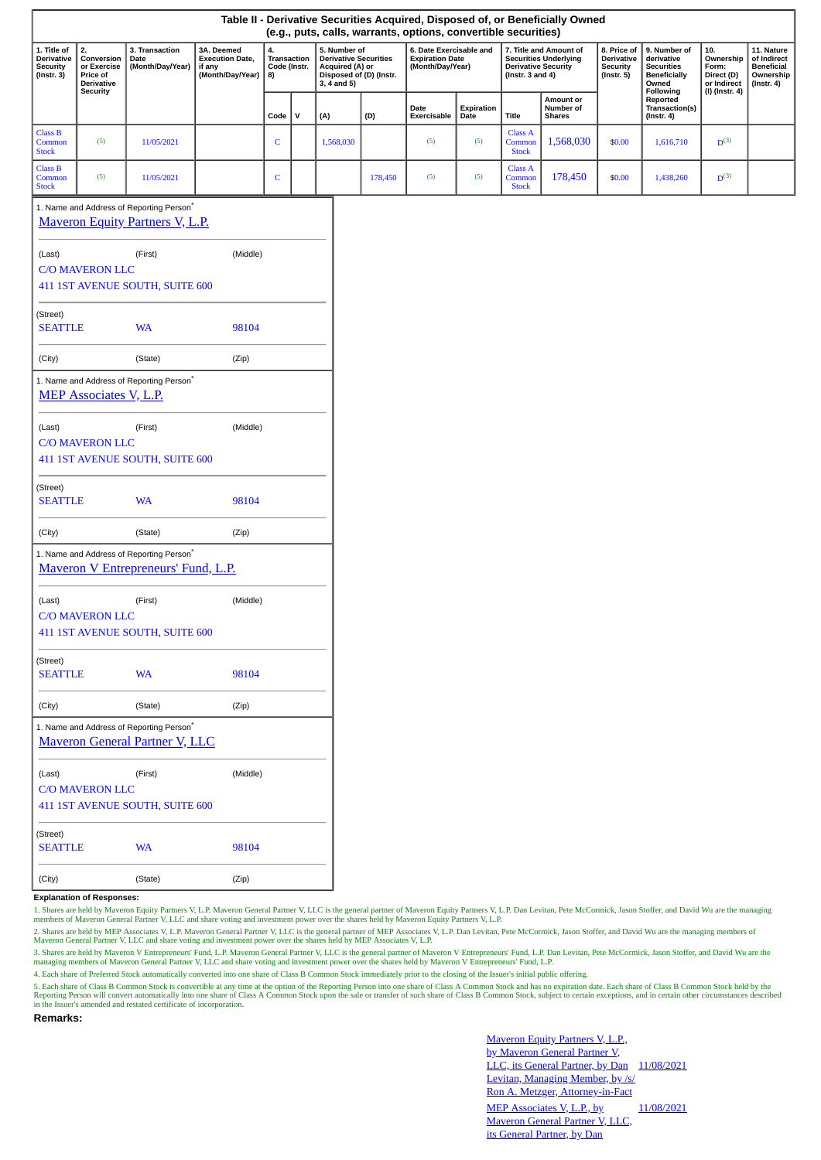|                                                                                    |                                                                  |                                                                                               |                                                                    |                                         |              |                                                                                                               |  |                                                                       | (e.g., puts, calls, warrants, options, convertible securities) |                    |                                          | Table II - Derivative Securities Acquired, Disposed of, or Beneficially Owned        |                                                           |                                                                                 |                                                        |                                                                                 |
|------------------------------------------------------------------------------------|------------------------------------------------------------------|-----------------------------------------------------------------------------------------------|--------------------------------------------------------------------|-----------------------------------------|--------------|---------------------------------------------------------------------------------------------------------------|--|-----------------------------------------------------------------------|----------------------------------------------------------------|--------------------|------------------------------------------|--------------------------------------------------------------------------------------|-----------------------------------------------------------|---------------------------------------------------------------------------------|--------------------------------------------------------|---------------------------------------------------------------------------------|
| 1. Title of<br>Derivative<br><b>Security</b><br>$($ Instr. 3 $)$                   | 2.<br>Conversion<br>or Exercise<br>Price of<br><b>Derivative</b> | 3. Transaction<br>Date<br>(Month/Day/Year)                                                    | 3A. Deemed<br><b>Execution Date,</b><br>if any<br>(Month/Day/Year) | 4.<br>Transaction<br>Code (Instr.<br>8) |              | 5. Number of<br><b>Derivative Securities</b><br>Acquired (A) or<br>Disposed of (D) (Instr.<br>$3, 4$ and $5)$ |  | 6. Date Exercisable and<br><b>Expiration Date</b><br>(Month/Day/Year) |                                                                |                    | (Instr. $3$ and $4$ )                    | 7. Title and Amount of<br><b>Securities Underlying</b><br><b>Derivative Security</b> | 8. Price of<br>Derivative<br>Security<br>$($ Instr. 5 $)$ | 9. Number of<br>derivative<br><b>Securities</b><br><b>Beneficially</b><br>Owned | 10.<br>Ownership<br>Form:<br>Direct (D)<br>or Indirect | 11. Nature<br>of Indirect<br><b>Beneficial</b><br>Ownership<br>$($ Instr. 4 $)$ |
|                                                                                    | <b>Security</b>                                                  |                                                                                               |                                                                    | Code                                    | $\mathsf{v}$ | (A)                                                                                                           |  | (D)                                                                   | Date<br>Exercisable                                            | Expiration<br>Date | <b>Title</b>                             | Amount or<br>Number of<br><b>Shares</b>                                              |                                                           | Following<br>Reported<br>Transaction(s)<br>$($ Instr. 4 $)$                     | (I) (Instr. 4)                                         |                                                                                 |
| <b>Class B</b><br>Common<br><b>Stock</b>                                           | (5)                                                              | 11/05/2021                                                                                    |                                                                    | $\mathbf C$                             |              | 1,568,030                                                                                                     |  |                                                                       | (5)                                                            | (5)                | <b>Class A</b><br>Common<br><b>Stock</b> | 1,568,030                                                                            | \$0.00                                                    | 1,616,710                                                                       | $D^{(3)}$                                              |                                                                                 |
| <b>Class B</b><br>Common<br><b>Stock</b>                                           | (5)                                                              | 11/05/2021                                                                                    |                                                                    | $\mathbf C$                             |              |                                                                                                               |  | 178,450                                                               | (5)                                                            | (5)                | <b>Class A</b><br>Common<br><b>Stock</b> | 178,450                                                                              | \$0.00                                                    | 1,438,260                                                                       | $D^{(3)}$                                              |                                                                                 |
| 1. Name and Address of Reporting Person*<br><b>Maveron Equity Partners V, L.P.</b> |                                                                  |                                                                                               |                                                                    |                                         |              |                                                                                                               |  |                                                                       |                                                                |                    |                                          |                                                                                      |                                                           |                                                                                 |                                                        |                                                                                 |
| (Middle)<br>(First)<br>(Last)                                                      |                                                                  |                                                                                               |                                                                    |                                         |              |                                                                                                               |  |                                                                       |                                                                |                    |                                          |                                                                                      |                                                           |                                                                                 |                                                        |                                                                                 |
| <b>C/O MAVERON LLC</b>                                                             |                                                                  |                                                                                               |                                                                    |                                         |              |                                                                                                               |  |                                                                       |                                                                |                    |                                          |                                                                                      |                                                           |                                                                                 |                                                        |                                                                                 |
|                                                                                    |                                                                  | 411 1ST AVENUE SOUTH, SUITE 600                                                               |                                                                    |                                         |              |                                                                                                               |  |                                                                       |                                                                |                    |                                          |                                                                                      |                                                           |                                                                                 |                                                        |                                                                                 |
| (Street)<br><b>SEATTLE</b><br><b>WA</b><br>98104                                   |                                                                  |                                                                                               |                                                                    |                                         |              |                                                                                                               |  |                                                                       |                                                                |                    |                                          |                                                                                      |                                                           |                                                                                 |                                                        |                                                                                 |
| (City)                                                                             | (State)<br>(Zip)                                                 |                                                                                               |                                                                    |                                         |              |                                                                                                               |  |                                                                       |                                                                |                    |                                          |                                                                                      |                                                           |                                                                                 |                                                        |                                                                                 |
|                                                                                    | <b>MEP Associates V, L.P.</b>                                    | 1. Name and Address of Reporting Person <sup>*</sup>                                          |                                                                    |                                         |              |                                                                                                               |  |                                                                       |                                                                |                    |                                          |                                                                                      |                                                           |                                                                                 |                                                        |                                                                                 |
| (Middle)<br>(First)<br>(Last)<br><b>C/O MAVERON LLC</b>                            |                                                                  |                                                                                               |                                                                    |                                         |              |                                                                                                               |  |                                                                       |                                                                |                    |                                          |                                                                                      |                                                           |                                                                                 |                                                        |                                                                                 |
|                                                                                    |                                                                  | 411 1ST AVENUE SOUTH, SUITE 600                                                               |                                                                    |                                         |              |                                                                                                               |  |                                                                       |                                                                |                    |                                          |                                                                                      |                                                           |                                                                                 |                                                        |                                                                                 |
| (Street)<br><b>SEATTLE</b>                                                         |                                                                  | <b>WA</b>                                                                                     | 98104                                                              |                                         |              |                                                                                                               |  |                                                                       |                                                                |                    |                                          |                                                                                      |                                                           |                                                                                 |                                                        |                                                                                 |
| (City)                                                                             |                                                                  | (State)                                                                                       | (Zip)                                                              |                                         |              |                                                                                                               |  |                                                                       |                                                                |                    |                                          |                                                                                      |                                                           |                                                                                 |                                                        |                                                                                 |
| 1. Name and Address of Reporting Person*<br>Maveron V Entrepreneurs' Fund, L.P.    |                                                                  |                                                                                               |                                                                    |                                         |              |                                                                                                               |  |                                                                       |                                                                |                    |                                          |                                                                                      |                                                           |                                                                                 |                                                        |                                                                                 |
| (First)<br>(Middle)<br>(Last)                                                      |                                                                  |                                                                                               |                                                                    |                                         |              |                                                                                                               |  |                                                                       |                                                                |                    |                                          |                                                                                      |                                                           |                                                                                 |                                                        |                                                                                 |
| <b>C/O MAVERON LLC</b><br>411 1ST AVENUE SOUTH, SUITE 600                          |                                                                  |                                                                                               |                                                                    |                                         |              |                                                                                                               |  |                                                                       |                                                                |                    |                                          |                                                                                      |                                                           |                                                                                 |                                                        |                                                                                 |
|                                                                                    |                                                                  |                                                                                               |                                                                    |                                         |              |                                                                                                               |  |                                                                       |                                                                |                    |                                          |                                                                                      |                                                           |                                                                                 |                                                        |                                                                                 |
| (Street)<br><b>SEATTLE</b>                                                         |                                                                  | <b>WA</b>                                                                                     | 98104                                                              |                                         |              |                                                                                                               |  |                                                                       |                                                                |                    |                                          |                                                                                      |                                                           |                                                                                 |                                                        |                                                                                 |
| (City)                                                                             |                                                                  | (State)                                                                                       | (Zip)                                                              |                                         |              |                                                                                                               |  |                                                                       |                                                                |                    |                                          |                                                                                      |                                                           |                                                                                 |                                                        |                                                                                 |
|                                                                                    |                                                                  | 1. Name and Address of Reporting Person <sup>*</sup><br><b>Mayeron General Partner V, LLC</b> |                                                                    |                                         |              |                                                                                                               |  |                                                                       |                                                                |                    |                                          |                                                                                      |                                                           |                                                                                 |                                                        |                                                                                 |
| (Last)                                                                             | <b>C/O MAVERON LLC</b>                                           | (First)                                                                                       | (Middle)                                                           |                                         |              |                                                                                                               |  |                                                                       |                                                                |                    |                                          |                                                                                      |                                                           |                                                                                 |                                                        |                                                                                 |
|                                                                                    |                                                                  | 411 1ST AVENUE SOUTH, SUITE 600                                                               |                                                                    |                                         |              |                                                                                                               |  |                                                                       |                                                                |                    |                                          |                                                                                      |                                                           |                                                                                 |                                                        |                                                                                 |
| (Street)<br><b>SEATTLE</b>                                                         |                                                                  | <b>WA</b>                                                                                     | 98104                                                              |                                         |              |                                                                                                               |  |                                                                       |                                                                |                    |                                          |                                                                                      |                                                           |                                                                                 |                                                        |                                                                                 |
|                                                                                    |                                                                  |                                                                                               |                                                                    |                                         |              |                                                                                                               |  |                                                                       |                                                                |                    |                                          |                                                                                      |                                                           |                                                                                 |                                                        |                                                                                 |

**Explanation of Responses:**

(City) (State) (Zip)

1. Shares are held by Maveron Equity Partners V, L.P. Maveron General Partner V, L.C is the general partner of Maveron Equity Partners V, L.P. Dan Levitan, Pete McCormick, Jason Stoffer, and David Wu are the managing<br>membe

2. Shares are held by MEP Associates V, L.P. Maveron General Partner V, L.LC is the general partner of MEP Associates V, L.P. Dan Levitan, Pete McCormick, Jason Stoffer, and David Wu are the managing members of<br>Maveron Gen

3. Shares are held by Maveron V Entrepreneurs' Fund, L.P. Maveron General Partner V, LLC is the general partner of Maveron V Entrepreneurs' Fund, L.P. Dan Levitan, Pete McCormick, Jason Stoffer, and David Wu are the managing members of Maveron General Partner V, LLC and share voting and investment power over the shares held by Maveron V Entrepreneurs' Fund, L.P.

4. Each share of Preferred Stock automatically converted into one share of Class B Common Stock immediately prior to the closing of the Issuer's initial public offering.

5. Each share of Class B Common Stock is convertible at any time at the option of the Reporting Person into one share of Class A Common Stock and has no expiration date. Each share of Class B Common Stock held by the<br>Repor

**Remarks:**

Maveron Equity Partners V, L.P., by Maveron General Partner V, LLC, its General Partner, by Dan 11/08/2021 Levitan, Managing Member, by /s/ Ron A. Metzger, Attorney-in-Fact MEP Associates V, L.P., by Maveron General Partner V, LLC, its General Partner, by Dan 11/08/2021